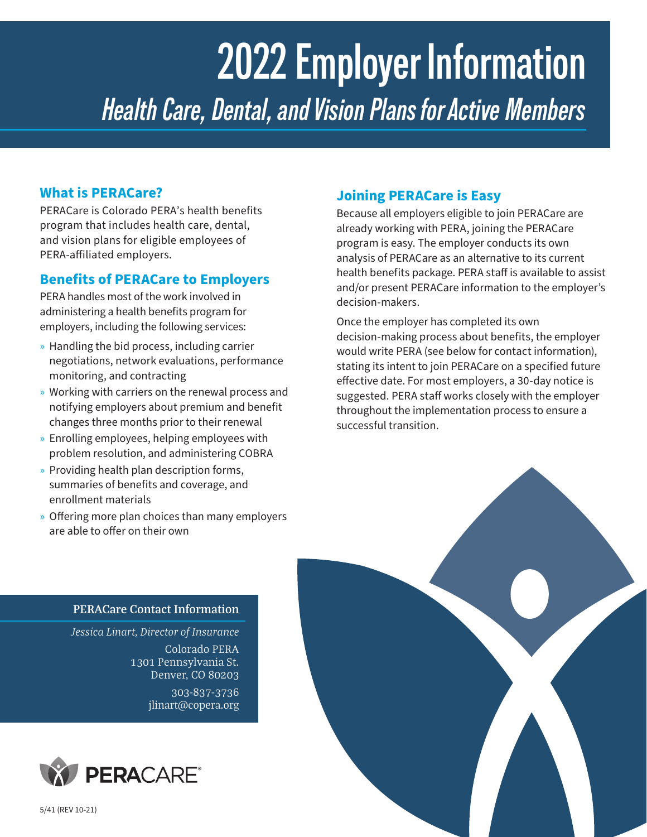# **2022 Employer Information** *Health Care, Dental, and Vision Plans for Active Members*

## **What is PERACare?**

PERACare is Colorado PERA's health benefits program that includes health care, dental, and vision plans for eligible employees of PERA‑affiliated employers.

## **Benefits of PERACare to Employers**

PERA handles most of the work involved in administering a health benefits program for employers, including the following services:

- » Handling the bid process, including carrier negotiations, network evaluations, performance monitoring, and contracting
- » Working with carriers on the renewal process and notifying employers about premium and benefit changes three months prior to their renewal
- » Enrolling employees, helping employees with problem resolution, and administering COBRA
- » Providing health plan description forms, summaries of benefits and coverage, and enrollment materials
- » Offering more plan choices than many employers are able to offer on their own

# **Joining PERACare is Easy**

Because all employers eligible to join PERACare are already working with PERA, joining the PERACare program is easy. The employer conducts its own analysis of PERACare as an alternative to its current health benefits package. PERA staff is available to assist and/or present PERACare information to the employer's decision-makers.

Once the employer has completed its own decision‑making process about benefits, the employer would write PERA (see below for contact information), stating its intent to join PERACare on a specified future effective date. For most employers, a 30‑day notice is suggested. PERA staff works closely with the employer throughout the implementation process to ensure a successful transition.

#### **PERACare Contact Information**

*Jessica Linart, Director of Insurance* Colorado PERA

1301 Pennsylvania St. Denver, CO 80203

> 303-837-3736 jlinart@copera.org





5/41 (REV 10-21)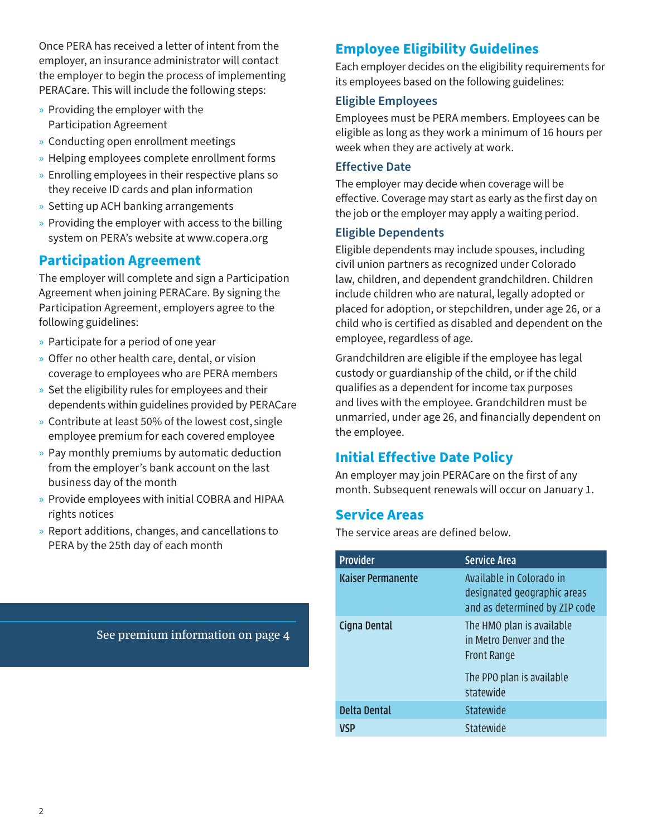Once PERA has received a letter of intent from the employer, an insurance administrator will contact the employer to begin the process of implementing PERACare. This will include the following steps:

- » Providing the employer with the Participation Agreement
- » Conducting open enrollment meetings
- » Helping employees complete enrollment forms
- » Enrolling employees in their respective plans so they receive ID cards and plan information
- » Setting up ACH banking arrangements
- » Providing the employer with access to the billing system on PERA's website at www.copera.org

## **Participation Agreement**

The employer will complete and sign a Participation Agreement when joining PERACare. By signing the Participation Agreement, employers agree to the following guidelines:

- » Participate for a period of one year
- » Offer no other health care, dental, or vision coverage to employees who are PERA members
- » Set the eligibility rules for employees and their dependents within guidelines provided by PERACare
- » Contribute at least 50% of the lowest cost, single employee premium for each covered employee
- » Pay monthly premiums by automatic deduction from the employer's bank account on the last business day of the month
- » Provide employees with initial COBRA and HIPAA rights notices
- » Report additions, changes, and cancellations to PERA by the 25th day of each month

See premium information on page 4

# **Employee Eligibility Guidelines**

Each employer decides on the eligibility requirements for its employees based on the following guidelines:

#### **Eligible Employees**

Employees must be PERA members. Employees can be eligible as long as they work a minimum of 16 hours per week when they are actively at work.

#### **Effective Date**

The employer may decide when coverage will be effective. Coverage may start as early as the first day on the job or the employer may apply a waiting period.

#### **Eligible Dependents**

Eligible dependents may include spouses, including civil union partners as recognized under Colorado law, children, and dependent grandchildren. Children include children who are natural, legally adopted or placed for adoption, or stepchildren, under age 26, or a child who is certified as disabled and dependent on the employee, regardless of age.

Grandchildren are eligible if the employee has legal custody or guardianship of the child, or if the child qualifies as a dependent for income tax purposes and lives with the employee. Grandchildren must be unmarried, under age 26, and financially dependent on the employee.

# **Initial Effective Date Policy**

An employer may join PERACare on the first of any month. Subsequent renewals will occur on January 1.

### **Service Areas**

The service areas are defined below.

| <b>Provider</b>          | <b>Service Area</b>                                                                                                  |
|--------------------------|----------------------------------------------------------------------------------------------------------------------|
| <b>Kaiser Permanente</b> | Available in Colorado in<br>designated geographic areas<br>and as determined by ZIP code                             |
| Cigna Dental             | The HMO plan is available<br>in Metro Denver and the<br><b>Front Range</b><br>The PPO plan is available<br>statewide |
| <b>Delta Dental</b>      | Statewide                                                                                                            |
|                          | Statewide                                                                                                            |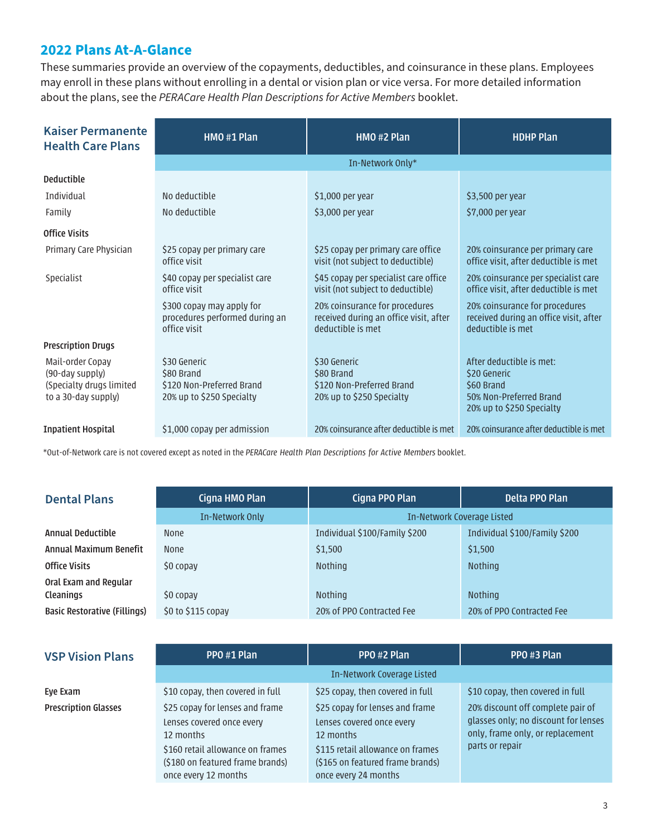## **2022 Plans At-A-Glance**

These summaries provide an overview of the copayments, deductibles, and coinsurance in these plans. Employees may enroll in these plans without enrolling in a dental or vision plan or vice versa. For more detailed information about the plans, see the *PERACare Health Plan Descriptions for Active Members* booklet.

| <b>Kaiser Permanente</b><br><b>Health Care Plans</b>                                   | HMO #1 Plan                                                                          | HMO #2 Plan                                                                                   | <b>HDHP Plan</b>                                                                                               |  |
|----------------------------------------------------------------------------------------|--------------------------------------------------------------------------------------|-----------------------------------------------------------------------------------------------|----------------------------------------------------------------------------------------------------------------|--|
|                                                                                        | In-Network Only*                                                                     |                                                                                               |                                                                                                                |  |
| <b>Deductible</b>                                                                      |                                                                                      |                                                                                               |                                                                                                                |  |
| Individual                                                                             | No deductible                                                                        | \$1,000 per year                                                                              | \$3,500 per year                                                                                               |  |
| Family                                                                                 | No deductible                                                                        | \$3,000 per year                                                                              | \$7,000 per year                                                                                               |  |
| <b>Office Visits</b>                                                                   |                                                                                      |                                                                                               |                                                                                                                |  |
| Primary Care Physician                                                                 | \$25 copay per primary care<br>office visit                                          | \$25 copay per primary care office<br>visit (not subject to deductible)                       | 20% coinsurance per primary care<br>office visit, after deductible is met                                      |  |
| Specialist                                                                             | \$40 copay per specialist care<br>office visit                                       | \$45 copay per specialist care office<br>visit (not subject to deductible)                    | 20% coinsurance per specialist care<br>office visit, after deductible is met                                   |  |
|                                                                                        | \$300 copay may apply for<br>procedures performed during an<br>office visit          | 20% coinsurance for procedures<br>received during an office visit, after<br>deductible is met | 20% coinsurance for procedures<br>received during an office visit, after<br>deductible is met                  |  |
| <b>Prescription Drugs</b>                                                              |                                                                                      |                                                                                               |                                                                                                                |  |
| Mail-order Copay<br>(90-day supply)<br>(Specialty drugs limited<br>to a 30-day supply) | \$30 Generic<br>\$80 Brand<br>\$120 Non-Preferred Brand<br>20% up to \$250 Specialty | \$30 Generic<br>\$80 Brand<br>\$120 Non-Preferred Brand<br>20% up to \$250 Specialty          | After deductible is met:<br>\$20 Generic<br>\$60 Brand<br>50% Non-Preferred Brand<br>20% up to \$250 Specialty |  |
| <b>Inpatient Hospital</b>                                                              | \$1,000 copay per admission                                                          | 20% coinsurance after deductible is met                                                       | 20% coinsurance after deductible is met                                                                        |  |

\*Out-of-Network care is not covered except as noted in the *PERACare Health Plan Descriptions for Active Members* booklet.

## **Dental Plans Cigna HMO Plan Cigna PPO Plan Cigna PPO Plan Delta PPO Plan**

|                              | In-Network Only      | In-Network Coverage Listed    |                               |
|------------------------------|----------------------|-------------------------------|-------------------------------|
| Annual Deductible            | <b>None</b>          | Individual \$100/Family \$200 | Individual \$100/Family \$200 |
| Annual Maximum Benefit       | <b>None</b>          | \$1,500                       | \$1,500                       |
| Office Visits                | \$0 copay            | <b>Nothing</b>                | <b>Nothing</b>                |
| Oral Exam and Regular        |                      |                               |                               |
| Cleanings                    | \$0 copay            | <b>Nothing</b>                | <b>Nothing</b>                |
| Basic Restorative (Fillings) | $$0$ to $$115$ copay | 20% of PPO Contracted Fee     | 20% of PPO Contracted Fee     |

| <b>VSP Vision Plans</b>     | PPO#1 Plan                                                                                   | PPO#2 Plan                                                                                   | PPO #3 Plan                                                              |
|-----------------------------|----------------------------------------------------------------------------------------------|----------------------------------------------------------------------------------------------|--------------------------------------------------------------------------|
|                             |                                                                                              | In-Network Coverage Listed                                                                   |                                                                          |
| Eye Exam                    | \$10 copay, then covered in full                                                             | \$25 copay, then covered in full                                                             | \$10 copay, then covered in full                                         |
| <b>Prescription Glasses</b> | \$25 copay for lenses and frame                                                              | \$25 copay for lenses and frame                                                              | 20% discount off complete pair of                                        |
|                             | Lenses covered once every<br>12 months                                                       | Lenses covered once every<br>12 months                                                       | glasses only; no discount for lenses<br>only, frame only, or replacement |
|                             | \$160 retail allowance on frames<br>(\$180 on featured frame brands)<br>once every 12 months | \$115 retail allowance on frames<br>(\$165 on featured frame brands)<br>once every 24 months | parts or repair                                                          |